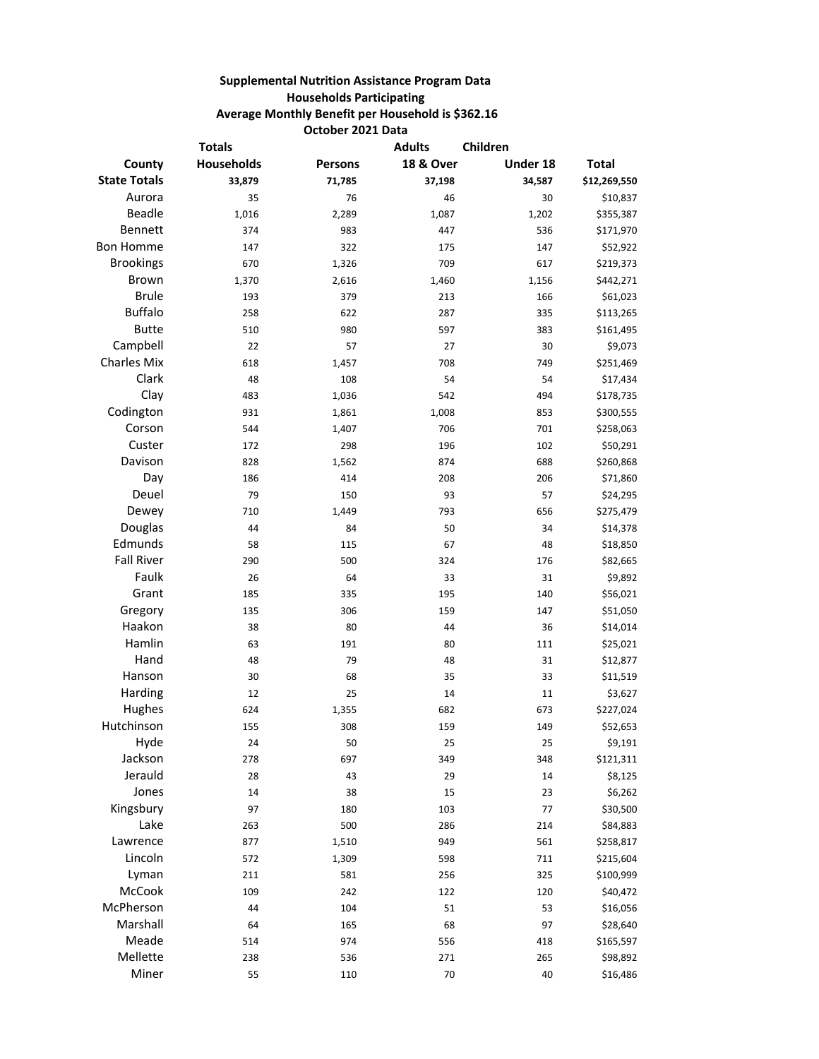## **Supplemental Nutrition Assistance Program Data Households Participating Average Monthly Benefit per Household is \$362.16 October 2021 Data**

| <b>Totals</b>       |            | <b>Adults</b>  | Children             |          |              |
|---------------------|------------|----------------|----------------------|----------|--------------|
| County              | Households | <b>Persons</b> | <b>18 &amp; Over</b> | Under 18 | <b>Total</b> |
| <b>State Totals</b> | 33,879     | 71,785         | 37,198               | 34,587   | \$12,269,550 |
| Aurora              | 35         | 76             | 46                   | 30       | \$10,837     |
| Beadle              | 1,016      | 2,289          | 1,087                | 1,202    | \$355,387    |
| Bennett             | 374        | 983            | 447                  | 536      | \$171,970    |
| <b>Bon Homme</b>    | 147        | 322            | 175                  | 147      | \$52,922     |
| <b>Brookings</b>    | 670        | 1,326          | 709                  | 617      | \$219,373    |
| Brown               | 1,370      | 2,616          | 1,460                | 1,156    | \$442,271    |
| <b>Brule</b>        | 193        | 379            | 213                  | 166      | \$61,023     |
| <b>Buffalo</b>      | 258        | 622            | 287                  | 335      | \$113,265    |
| <b>Butte</b>        | 510        | 980            | 597                  | 383      | \$161,495    |
| Campbell            | 22         | 57             | 27                   | 30       | \$9,073      |
| <b>Charles Mix</b>  | 618        | 1,457          | 708                  | 749      | \$251,469    |
| Clark               | 48         | 108            | 54                   | 54       | \$17,434     |
| Clay                | 483        | 1,036          | 542                  | 494      | \$178,735    |
| Codington           | 931        | 1,861          | 1,008                | 853      | \$300,555    |
| Corson              | 544        | 1,407          | 706                  | 701      | \$258,063    |
| Custer              | 172        | 298            | 196                  | 102      | \$50,291     |
| Davison             | 828        | 1,562          | 874                  | 688      | \$260,868    |
| Day                 | 186        | 414            | 208                  | 206      | \$71,860     |
| Deuel               | 79         | 150            | 93                   | 57       | \$24,295     |
| Dewey               | 710        | 1,449          | 793                  | 656      | \$275,479    |
| Douglas             | 44         | 84             | 50                   | 34       | \$14,378     |
| Edmunds             | 58         | 115            | 67                   | 48       | \$18,850     |
| <b>Fall River</b>   | 290        | 500            | 324                  | 176      | \$82,665     |
| Faulk               | 26         | 64             | 33                   | 31       | \$9,892      |
| Grant               | 185        | 335            | 195                  | 140      | \$56,021     |
| Gregory             | 135        | 306            | 159                  | 147      | \$51,050     |
| Haakon              | 38         | 80             | 44                   | 36       | \$14,014     |
| Hamlin              | 63         | 191            | 80                   | 111      | \$25,021     |
| Hand                | 48         | 79             | 48                   | 31       | \$12,877     |
| Hanson              | 30         | 68             | 35                   | 33       | \$11,519     |
| Harding             | 12         | 25             | 14                   | 11       | \$3,627      |
| Hughes              | 624        | 1,355          | 682                  | 673      | \$227,024    |
| Hutchinson          | 155        | 308            | 159                  | 149      | \$52,653     |
| Hyde                | 24         | 50             | 25                   | 25       | \$9,191      |
| Jackson             | 278        | 697            | 349                  | 348      | \$121,311    |
| Jerauld             | 28         | 43             | 29                   | 14       | \$8,125      |
| Jones               | 14         | 38             | 15                   | 23       | \$6,262      |
| Kingsbury           | 97         | 180            | 103                  | $77 \,$  | \$30,500     |
| Lake                | 263        | 500            | 286                  | 214      | \$84,883     |
| Lawrence            | 877        | 1,510          | 949                  | 561      | \$258,817    |
| Lincoln             | 572        | 1,309          | 598                  | $711\,$  | \$215,604    |
| Lyman               | 211        | 581            | 256                  | 325      | \$100,999    |
| McCook              | 109        | 242            | 122                  | 120      | \$40,472     |
| McPherson           | 44         | 104            | 51                   | 53       | \$16,056     |
| Marshall            | 64         | 165            | 68                   | 97       | \$28,640     |
| Meade               | 514        | 974            | 556                  | 418      | \$165,597    |
| Mellette            | 238        | 536            | 271                  | 265      | \$98,892     |
| Miner               | 55         | 110            | 70                   | 40       | \$16,486     |